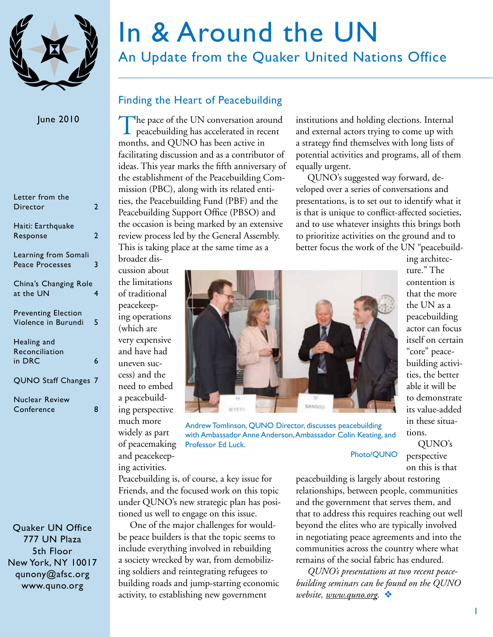

#### June 2010

| Letter from the<br>Director                       | 7 |
|---------------------------------------------------|---|
| Haiti: Earthquake<br>Response                     | 7 |
| Learning from Somali<br>Peace Processes           | 3 |
| China's Changing Role<br>at the UN                | 4 |
| <b>Preventing Election</b><br>Violence in Burundi | 5 |
| Healing and                                       |   |
| Reconciliation                                    |   |
| in DRC                                            | 6 |
| QUNO Staff Changes 7                              |   |
| Nuclear Review                                    |   |
| Conference                                        |   |

Quaker UN Office 777 UN Plaza 5th Floor New York, NY 10017 qunony@afsc.org www.quno.org

# In & Around the UN

An Update from the Quaker United Nations Office

# Finding the Heart of Peacebuilding

The pace of the UN conversation around<br>peacebuilding has accelerated in recent months, and QUNO has been active in facilitating discussion and as a contributor of ideas. This year marks the fifth anniversary of the establishment of the Peacebuilding Commission (PBC), along with its related entities, the Peacebuilding Fund (PBF) and the Peacebuilding Support Office (PBSO) and the occasion is being marked by an extensive review process led by the General Assembly. This is taking place at the same time as a

institutions and holding elections. Internal and external actors trying to come up with a strategy find themselves with long lists of potential activities and programs, all of them equally urgent.

QUNO's suggested way forward, developed over a series of conversations and presentations, is to set out to identify what it is that is unique to conflict-affected societies, and to use whatever insights this brings both to prioritize activities on the ground and to better focus the work of the UN "peacebuild-

broader discussion about the limitations of traditional peacekeeping operations (which are very expensive and have had uneven success) and the need to embed a peacebuilding perspective much more widely as part of peacemaking and peacekeep-

ing activities.



Andrew Tomlinson, QUNO Director, discusses peacebuilding with Ambassador Anne Anderson, Ambassador Colin Keating, and Professor Ed Luck.

ing architecture." The contention is that the more the UN as a peacebuilding actor can focus itself on certain "core" peacebuilding activities, the better able it will be to demonstrate its value-added in these situations.

QUNO's perspective on this is that

Peacebuilding is, of course, a key issue for Friends, and the focused work on this topic under QUNO's new strategic plan has positioned us well to engage on this issue.

One of the major challenges for wouldbe peace builders is that the topic seems to include everything involved in rebuilding a society wrecked by war, from demobilizing soldiers and reintegrating refugees to building roads and jump-starting economic activity, to establishing new government

peacebuilding is largely about restoring relationships, between people, communities and the government that serves them, and that to address this requires reaching out well beyond the elites who are typically involved in negotiating peace agreements and into the communities across the country where what remains of the social fabric has endured.

Photo/QUNO

*QUNO's presentations at two recent peacebuilding seminars can be found on the QUNO website, [www.quno.org.](www.quno.org)* v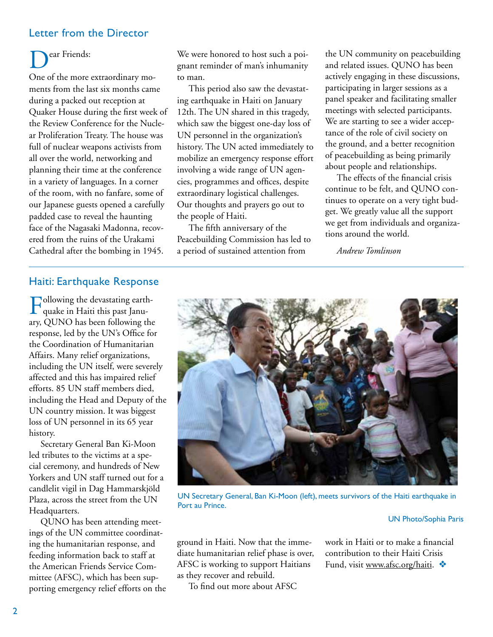## Letter from the Director

# ear Friends:

One of the more extraordinary moments from the last six months came during a packed out reception at Quaker House during the first week of the Review Conference for the Nuclear Proliferation Treaty. The house was full of nuclear weapons activists from all over the world, networking and planning their time at the conference in a variety of languages. In a corner of the room, with no fanfare, some of our Japanese guests opened a carefully padded case to reveal the haunting face of the Nagasaki Madonna, recovered from the ruins of the Urakami Cathedral after the bombing in 1945.

We were honored to host such a poignant reminder of man's inhumanity to man.

This period also saw the devastating earthquake in Haiti on January 12th. The UN shared in this tragedy, which saw the biggest one-day loss of UN personnel in the organization's history. The UN acted immediately to mobilize an emergency response effort involving a wide range of UN agencies, programmes and offices, despite extraordinary logistical challenges. Our thoughts and prayers go out to the people of Haiti.

The fifth anniversary of the Peacebuilding Commission has led to a period of sustained attention from

the UN community on peacebuilding and related issues. QUNO has been actively engaging in these discussions, participating in larger sessions as a panel speaker and facilitating smaller meetings with selected participants. We are starting to see a wider acceptance of the role of civil society on the ground, and a better recognition of peacebuilding as being primarily about people and relationships.

The effects of the financial crisis continue to be felt, and QUNO continues to operate on a very tight budget. We greatly value all the support we get from individuals and organizations around the world.

*Andrew Tomlinson*

#### Haiti: Earthquake Response

Following the devastating earth-quake in Haiti this past January, QUNO has been following the response, led by the UN's Office for the Coordination of Humanitarian Affairs. Many relief organizations, including the UN itself, were severely affected and this has impaired relief efforts. 85 UN staff members died, including the Head and Deputy of the UN country mission. It was biggest loss of UN personnel in its 65 year history.

Secretary General Ban Ki-Moon led tributes to the victims at a special ceremony, and hundreds of New Yorkers and UN staff turned out for a candlelit vigil in Dag Hammarskjöld Plaza, across the street from the UN Headquarters.

QUNO has been attending meetings of the UN committee coordinating the humanitarian response, and feeding information back to staff at the American Friends Service Committee (AFSC), which has been supporting emergency relief efforts on the



UN Secretary General, Ban Ki-Moon (left), meets survivors of the Haiti earthquake in Port au Prince.

#### UN Photo/Sophia Paris

ground in Haiti. Now that the immediate humanitarian relief phase is over, AFSC is working to support Haitians as they recover and rebuild.

To find out more about AFSC

work in Haiti or to make a financial contribution to their Haiti Crisis Fund, visit [www.afsc.org/haiti.](http://www.afsc.org/haiti)  $\clubsuit$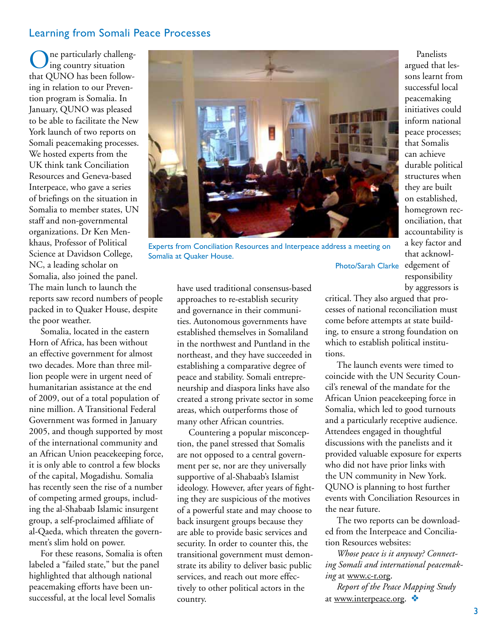#### Learning from Somali Peace Processes

ne particularly challenging country situation that QUNO has been following in relation to our Prevention program is Somalia. In January, QUNO was pleased to be able to facilitate the New York launch of two reports on Somali peacemaking processes. We hosted experts from the UK think tank Conciliation Resources and Geneva-based Interpeace, who gave a series of briefings on the situation in Somalia to member states, UN staff and non-governmental organizations. Dr Ken Menkhaus, Professor of Political Science at Davidson College, NC, a leading scholar on Somalia, also joined the panel. The main lunch to launch the reports saw record numbers of people packed in to Quaker House, despite the poor weather. Somalia at Quaker House.

Somalia, located in the eastern Horn of Africa, has been without an effective government for almost two decades. More than three million people were in urgent need of humanitarian assistance at the end of 2009, out of a total population of nine million. A Transitional Federal Government was formed in January 2005, and though supported by most of the international community and an African Union peacekeeping force, it is only able to control a few blocks of the capital, Mogadishu. Somalia has recently seen the rise of a number of competing armed groups, including the al-Shabaab Islamic insurgent group, a self-proclaimed affiliate of al-Qaeda, which threaten the government's slim hold on power.

For these reasons, Somalia is often labeled a "failed state," but the panel highlighted that although national peacemaking efforts have been unsuccessful, at the local level Somalis

have used traditional consensus-based approaches to re-establish security and governance in their communities. Autonomous governments have established themselves in Somaliland in the northwest and Puntland in the northeast, and they have succeeded in establishing a comparative degree of peace and stability. Somali entrepreneurship and diaspora links have also created a strong private sector in some areas, which outperforms those of many other African countries.

Countering a popular misconception, the panel stressed that Somalis are not opposed to a central government per se, nor are they universally supportive of al-Shabaab's Islamist ideology. However, after years of fighting they are suspicious of the motives of a powerful state and may choose to back insurgent groups because they are able to provide basic services and security. In order to counter this, the transitional government must demonstrate its ability to deliver basic public services, and reach out more effectively to other political actors in the country.

tions.

Panelists argued that lessons learnt from successful local peacemaking initiatives could inform national peace processes; that Somalis can achieve durable political structures when they are built on established, homegrown reconciliation, that accountability is a key factor and

that acknowl-Photo/Sarah Clarke edgement of responsibility by aggressors is critical. They also argued that processes of national reconciliation must come before attempts at state building, to ensure a strong foundation on Experts from Conciliation Resources and Interpeace address a meeting on

> The launch events were timed to coincide with the UN Security Council's renewal of the mandate for the African Union peacekeeping force in Somalia, which led to good turnouts and a particularly receptive audience. Attendees engaged in thoughtful discussions with the panelists and it provided valuable exposure for experts who did not have prior links with the UN community in New York. QUNO is planning to host further events with Conciliation Resources in the near future.

which to establish political institu-

The two reports can be downloaded from the Interpeace and Conciliation Resources websites:

*Whose peace is it anyway? Connecting Somali and international peacemaking* at [www.c-r.org.](http:// www.c-r.org)

*Report of the Peace Mapping Study*  at [www.interpeace.org](http://www.interpeace.org).  $\bullet$ 

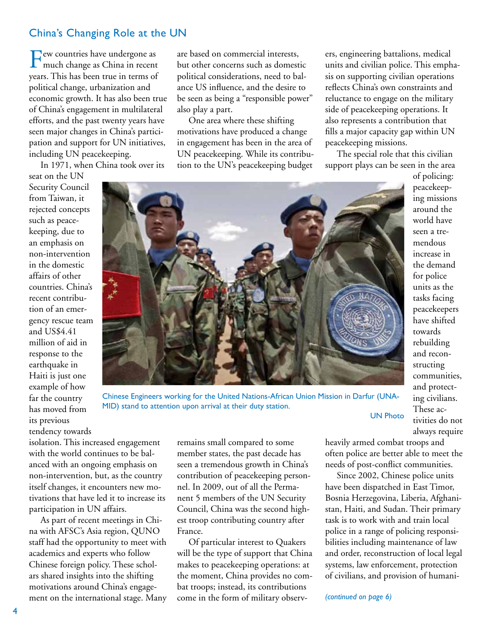#### China's Changing Role at the UN

Few countries have undergone as much change as China in recent years. This has been true in terms of political change, urbanization and economic growth. It has also been true of China's engagement in multilateral efforts, and the past twenty years have seen major changes in China's participation and support for UN initiatives, including UN peacekeeping.

In 1971, when China took over its

seat on the UN Security Council from Taiwan, it rejected concepts such as peacekeeping, due to an emphasis on non-intervention in the domestic affairs of other countries. China's recent contribution of an emergency rescue team and US\$4.41 million of aid in response to the earthquake in Haiti is just one example of how far the country has moved from its previous tendency towards

are based on commercial interests, but other concerns such as domestic political considerations, need to balance US influence, and the desire to be seen as being a "responsible power" also play a part.

One area where these shifting motivations have produced a change in engagement has been in the area of UN peacekeeping. While its contribution to the UN's peacekeeping budget ers, engineering battalions, medical units and civilian police. This emphasis on supporting civilian operations reflects China's own constraints and reluctance to engage on the military side of peacekeeping operations. It also represents a contribution that fills a major capacity gap within UN peacekeeping missions.

The special role that this civilian support plays can be seen in the area



Chinese Engineers working for the United Nations-African Union Mission in Darfur (UNA-MID) stand to attention upon arrival at their duty station.

isolation. This increased engagement with the world continues to be balanced with an ongoing emphasis on non-intervention, but, as the country itself changes, it encounters new motivations that have led it to increase its participation in UN affairs.

As part of recent meetings in China with AFSC's Asia region, QUNO staff had the opportunity to meet with academics and experts who follow Chinese foreign policy. These scholars shared insights into the shifting motivations around China's engagement on the international stage. Many

remains small compared to some member states, the past decade has seen a tremendous growth in China's contribution of peacekeeping personnel. In 2009, out of all the Permanent 5 members of the UN Security Council, China was the second highest troop contributing country after France.

Of particular interest to Quakers will be the type of support that China makes to peacekeeping operations: at the moment, China provides no combat troops; instead, its contributions come in the form of military observof policing: peacekeeping missions around the world have seen a tremendous increase in the demand for police units as the tasks facing peacekeepers have shifted towards rebuilding and reconstructing communities, and protecting civilians. These activities do not always require

UN Photo

heavily armed combat troops and often police are better able to meet the needs of post-conflict communities.

Since 2002, Chinese police units have been dispatched in East Timor, Bosnia Herzegovina, Liberia, Afghanistan, Haiti, and Sudan. Their primary task is to work with and train local police in a range of policing responsibilities including maintenance of law and order, reconstruction of local legal systems, law enforcement, protection of civilians, and provision of humani-

*(continued on page 6)*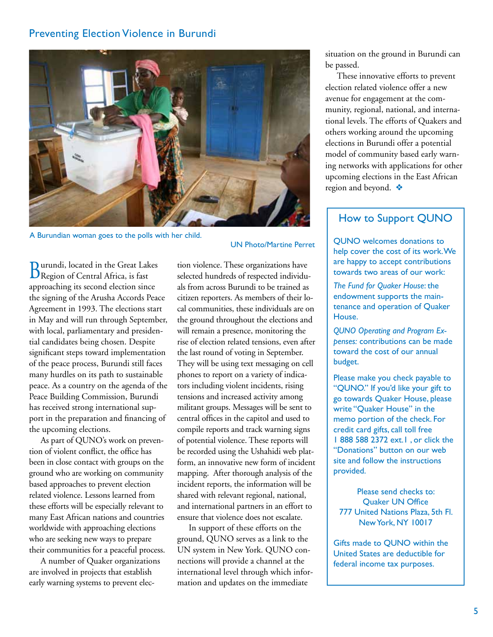#### Preventing Election Violence in Burundi



A Burundian woman goes to the polls with her child.

Burundi, located in the Great Lakes Region of Central Africa, is fast approaching its second election since the signing of the Arusha Accords Peace Agreement in 1993. The elections start in May and will run through September, with local, parliamentary and presidential candidates being chosen. Despite significant steps toward implementation of the peace process, Burundi still faces many hurdles on its path to sustainable peace. As a country on the agenda of the Peace Building Commission, Burundi has received strong international support in the preparation and financing of the upcoming elections.

As part of QUNO's work on prevention of violent conflict, the office has been in close contact with groups on the ground who are working on community based approaches to prevent election related violence. Lessons learned from these efforts will be especially relevant to many East African nations and countries worldwide with approaching elections who are seeking new ways to prepare their communities for a peaceful process.

A number of Quaker organizations are involved in projects that establish early warning systems to prevent elecUN Photo/Martine Perret

tion violence. These organizations have selected hundreds of respected individuals from across Burundi to be trained as citizen reporters. As members of their local communities, these individuals are on the ground throughout the elections and will remain a presence, monitoring the rise of election related tensions, even after the last round of voting in September. They will be using text messaging on cell phones to report on a variety of indicators including violent incidents, rising tensions and increased activity among militant groups. Messages will be sent to central offices in the capitol and used to compile reports and track warning signs of potential violence. These reports will be recorded using the Ushahidi web platform, an innovative new form of incident mapping. After thorough analysis of the incident reports, the information will be shared with relevant regional, national, and international partners in an effort to ensure that violence does not escalate.

In support of these efforts on the ground, QUNO serves as a link to the UN system in New York. QUNO connections will provide a channel at the international level through which information and updates on the immediate

situation on the ground in Burundi can be passed.

These innovative efforts to prevent election related violence offer a new avenue for engagement at the community, regional, national, and international levels. The efforts of Quakers and others working around the upcoming elections in Burundi offer a potential model of community based early warning networks with applications for other upcoming elections in the East African region and beyond.  $\clubsuit$ 

## How to Support QUNO

QUNO welcomes donations to help cover the cost of its work. We are happy to accept contributions towards two areas of our work:

*The Fund for Quaker House*: the endowment supports the maintenance and operation of Quaker House.

*QUNO Operating and Program Expenses:* contributions can be made toward the cost of our annual budget.

Please make you check payable to "QUNO." If you'd like your gift to go towards Quaker House, please write "Quaker House" in the memo portion of the check. For credit card gifts, call toll free 1 888 588 2372 ext.1 , or click the "Donations" button on our web site and follow the instructions provided.

Please send checks to: Quaker UN Office 777 United Nations Plaza, 5th Fl. New York, NY 10017

Gifts made to QUNO within the United States are deductible for federal income tax purposes.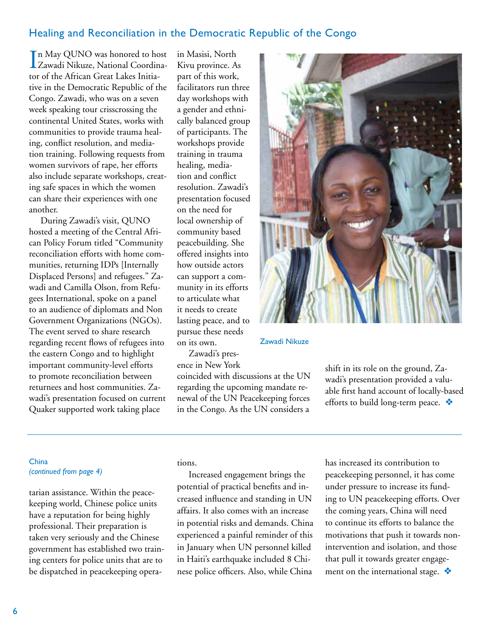#### Healing and Reconciliation in the Democratic Republic of the Congo

In May QUNO was honored to host<br>Zawadi Nikuze, National Coordina-Zawadi Nikuze, National Coordinator of the African Great Lakes Initiative in the Democratic Republic of the Congo. Zawadi, who was on a seven week speaking tour crisscrossing the continental United States, works with communities to provide trauma healing, conflict resolution, and mediation training. Following requests from women survivors of rape, her efforts also include separate workshops, creating safe spaces in which the women can share their experiences with one another.

During Zawadi's visit, QUNO hosted a meeting of the Central African Policy Forum titled "Community reconciliation efforts with home communities, returning IDPs [Internally Displaced Persons] and refugees." Zawadi and Camilla Olson, from Refugees International, spoke on a panel to an audience of diplomats and Non Government Organizations (NGOs). The event served to share research regarding recent flows of refugees into the eastern Congo and to highlight important community-level efforts to promote reconciliation between returnees and host communities. Zawadi's presentation focused on current Quaker supported work taking place

in Masisi, North Kivu province. As part of this work, facilitators run three day workshops with a gender and ethnically balanced group of participants. The workshops provide training in trauma healing, mediation and conflict resolution. Zawadi's presentation focused on the need for local ownership of community based peacebuilding. She offered insights into how outside actors can support a community in its efforts to articulate what it needs to create lasting peace, and to pursue these needs on its own.

Zawadi's presence in New York

coincided with discussions at the UN regarding the upcoming mandate renewal of the UN Peacekeeping forces in the Congo. As the UN considers a



Zawadi Nikuze

shift in its role on the ground, Zawadi's presentation provided a valuable first hand account of locally-based efforts to build long-term peace.  $\triangleleft$ 

#### **China** *(continued from page 4)*

tarian assistance. Within the peacekeeping world, Chinese police units have a reputation for being highly professional. Their preparation is taken very seriously and the Chinese government has established two training centers for police units that are to be dispatched in peacekeeping operations.

Increased engagement brings the potential of practical benefits and increased influence and standing in UN affairs. It also comes with an increase in potential risks and demands. China experienced a painful reminder of this in January when UN personnel killed in Haiti's earthquake included 8 Chinese police officers. Also, while China

has increased its contribution to peacekeeping personnel, it has come under pressure to increase its funding to UN peacekeeping efforts. Over the coming years, China will need to continue its efforts to balance the motivations that push it towards nonintervention and isolation, and those that pull it towards greater engagement on the international stage.v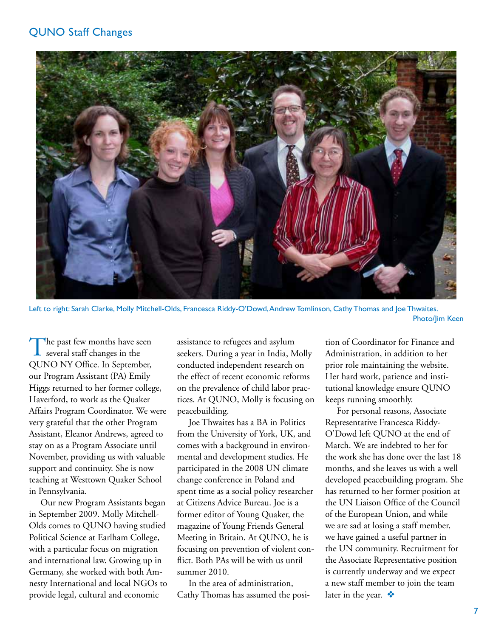#### QUNO Staff Changes



Left to right: Sarah Clarke, Molly Mitchell-Olds, Francesca Riddy-O'Dowd, Andrew Tomlinson, Cathy Thomas and Joe Thwaites. Photo/Jim Keen

The past few months have seen<br>several staff changes in the QUNO NY Office. In September, our Program Assistant (PA) Emily Higgs returned to her former college, Haverford, to work as the Quaker Affairs Program Coordinator. We were very grateful that the other Program Assistant, Eleanor Andrews, agreed to stay on as a Program Associate until November, providing us with valuable support and continuity. She is now teaching at Westtown Quaker School in Pennsylvania.

Our new Program Assistants began in September 2009. Molly Mitchell-Olds comes to QUNO having studied Political Science at Earlham College, with a particular focus on migration and international law. Growing up in Germany, she worked with both Amnesty International and local NGOs to provide legal, cultural and economic

assistance to refugees and asylum seekers. During a year in India, Molly conducted independent research on the effect of recent economic reforms on the prevalence of child labor practices. At QUNO, Molly is focusing on peacebuilding.

Joe Thwaites has a BA in Politics from the University of York, UK, and comes with a background in environmental and development studies. He participated in the 2008 UN climate change conference in Poland and spent time as a social policy researcher at Citizens Advice Bureau. Joe is a former editor of Young Quaker, the magazine of Young Friends General Meeting in Britain. At QUNO, he is focusing on prevention of violent conflict. Both PAs will be with us until summer 2010.

In the area of administration, Cathy Thomas has assumed the position of Coordinator for Finance and Administration, in addition to her prior role maintaining the website. Her hard work, patience and institutional knowledge ensure QUNO keeps running smoothly.

For personal reasons, Associate Representative Francesca Riddy-O'Dowd left QUNO at the end of March. We are indebted to her for the work she has done over the last 18 months, and she leaves us with a well developed peacebuilding program. She has returned to her former position at the UN Liaison Office of the Council of the European Union, and while we are sad at losing a staff member, we have gained a useful partner in the UN community. Recruitment for the Associate Representative position is currently underway and we expect a new staff member to join the team later in the year.  $\bullet$